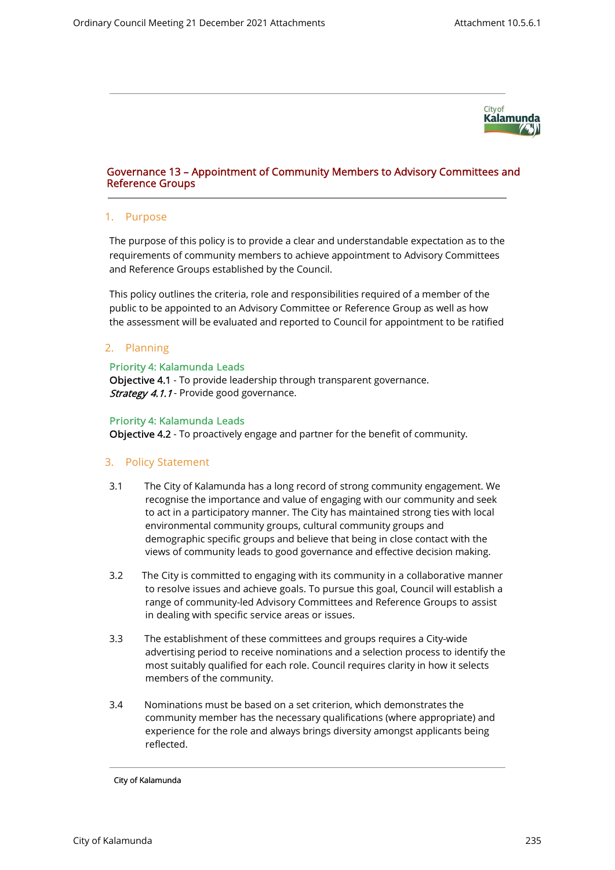

# Governance 13 – Appointment of Community Members to Advisory Committees and Reference Groups

#### 1. Purpose

The purpose of this policy is to provide a clear and understandable expectation as to the requirements of community members to achieve appointment to Advisory Committees and Reference Groups established by the Council.

This policy outlines the criteria, role and responsibilities required of a member of the public to be appointed to an Advisory Committee or Reference Group as well as how the assessment will be evaluated and reported to Council for appointment to be ratified

### 2. Planning

#### Priority 4: Kalamunda Leads

Objective 4.1 - To provide leadership through transparent governance. **Strategy 4.1.1** - Provide good governance.

#### Priority 4: Kalamunda Leads

Objective 4.2 - To proactively engage and partner for the benefit of community.

### 3. Policy Statement

- 3.1 The City of Kalamunda has a long record of strong community engagement. We recognise the importance and value of engaging with our community and seek to act in a participatory manner. The City has maintained strong ties with local environmental community groups, cultural community groups and demographic specific groups and believe that being in close contact with the views of community leads to good governance and effective decision making.
- 3.2 The City is committed to engaging with its community in a collaborative manner to resolve issues and achieve goals. To pursue this goal, Council will establish a range of community-led Advisory Committees and Reference Groups to assist in dealing with specific service areas or issues.
- 3.3 The establishment of these committees and groups requires a City-wide advertising period to receive nominations and a selection process to identify the most suitably qualified for each role. Council requires clarity in how it selects members of the community.
- 3.4 Nominations must be based on a set criterion, which demonstrates the community member has the necessary qualifications (where appropriate) and experience for the role and always brings diversity amongst applicants being reflected.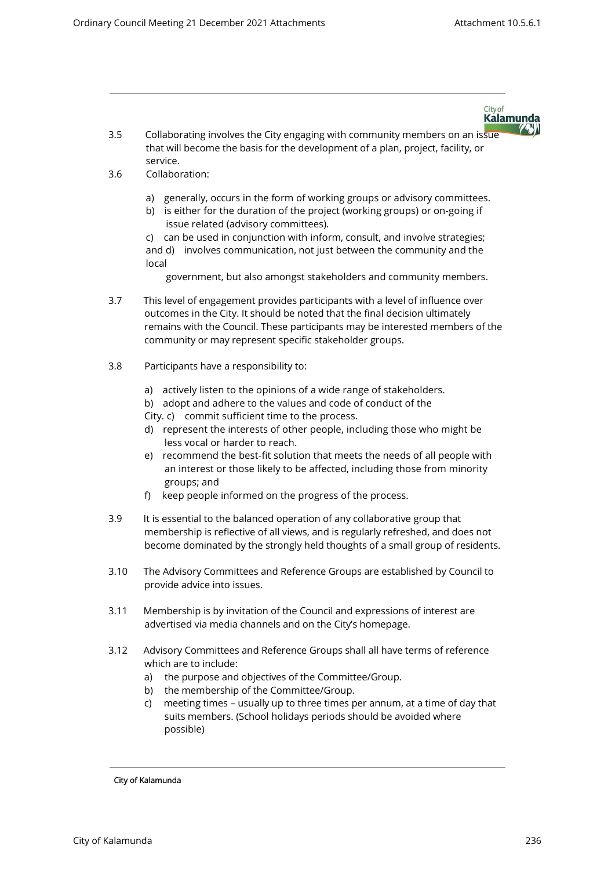City of **Kalamunda** 

**ASI** 

- 3.5 Collaborating involves the City engaging with community members on an issue that will become the basis for the development of a plan, project, facility, or service.
- 3.6 Collaboration:
	- a) generally, occurs in the form of working groups or advisory committees.
	- b) is either for the duration of the project (working groups) or on-going if issue related (advisory committees).

c) can be used in conjunction with inform, consult, and involve strategies; and d) involves communication, not just between the community and the local

government, but also amongst stakeholders and community members.

- 3.7 This level of engagement provides participants with a level of influence over outcomes in the City. It should be noted that the final decision ultimately remains with the Council. These participants may be interested members of the community or may represent specific stakeholder groups.
- 3.8 Participants have a responsibility to:
	- a) actively listen to the opinions of a wide range of stakeholders.
	- b) adopt and adhere to the values and code of conduct of the
	- City. c) commit sufficient time to the process.
	- d) represent the interests of other people, including those who might be less vocal or harder to reach.
	- e) recommend the best-fit solution that meets the needs of all people with an interest or those likely to be affected, including those from minority groups; and
	- f) keep people informed on the progress of the process.
- 3.9 It is essential to the balanced operation of any collaborative group that membership is reflective of all views, and is regularly refreshed, and does not become dominated by the strongly held thoughts of a small group of residents.
- 3.10 The Advisory Committees and Reference Groups are established by Council to provide advice into issues.
- 3.11 Membership is by invitation of the Council and expressions of interest are advertised via media channels and on the City's homepage.
- 3.12 Advisory Committees and Reference Groups shall all have terms of reference which are to include:
	- a) the purpose and objectives of the Committee/Group.
	- b) the membership of the Committee/Group.
	- c) meeting times usually up to three times per annum, at a time of day that suits members. (School holidays periods should be avoided where possible)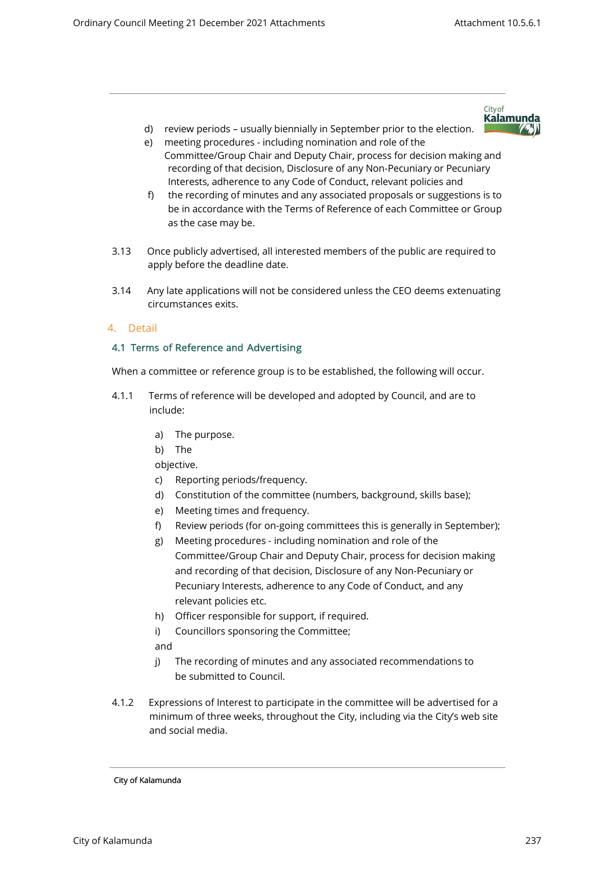City of **Kalamunda** 

- d) review periods usually biennially in September prior to the election.
- e) meeting procedures including nomination and role of the Committee/Group Chair and Deputy Chair, process for decision making and recording of that decision, Disclosure of any Non-Pecuniary or Pecuniary Interests, adherence to any Code of Conduct, relevant policies and
- f) the recording of minutes and any associated proposals or suggestions is to be in accordance with the Terms of Reference of each Committee or Group as the case may be.
- 3.13 Once publicly advertised, all interested members of the public are required to apply before the deadline date.
- 3.14 Any late applications will not be considered unless the CEO deems extenuating circumstances exits.

## 4. Detail

### 4.1 Terms of Reference and Advertising

When a committee or reference group is to be established, the following will occur.

- 4.1.1 Terms of reference will be developed and adopted by Council, and are to include:
	- a) The purpose.
	- b) The

objective.

- c) Reporting periods/frequency.
- d) Constitution of the committee (numbers, background, skills base);
- e) Meeting times and frequency.
- f) Review periods (for on-going committees this is generally in September);
- g) Meeting procedures including nomination and role of the Committee/Group Chair and Deputy Chair, process for decision making and recording of that decision, Disclosure of any Non-Pecuniary or Pecuniary Interests, adherence to any Code of Conduct, and any relevant policies etc.
- h) Officer responsible for support, if required.
- i) Councillors sponsoring the Committee;

and

- j) The recording of minutes and any associated recommendations to be submitted to Council.
- 4.1.2 Expressions of Interest to participate in the committee will be advertised for a minimum of three weeks, throughout the City, including via the City's web site and social media.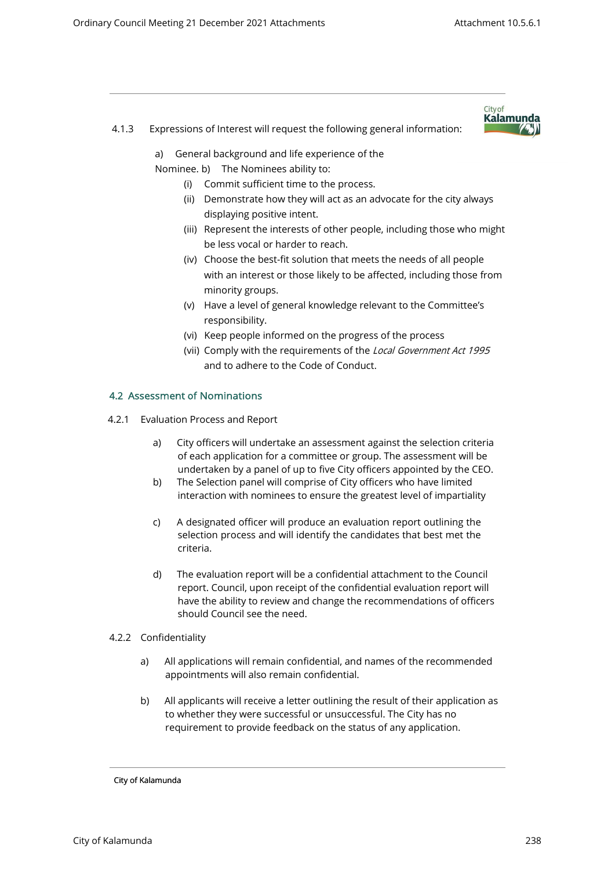4.1.3 Expressions of Interest will request the following general information:



a) General background and life experience of the

Nominee. b) The Nominees ability to:

- (i) Commit sufficient time to the process.
- (ii) Demonstrate how they will act as an advocate for the city always displaying positive intent.
- (iii) Represent the interests of other people, including those who might be less vocal or harder to reach.
- (iv) Choose the best-fit solution that meets the needs of all people with an interest or those likely to be affected, including those from minority groups.
- (v) Have a level of general knowledge relevant to the Committee's responsibility.
- (vi) Keep people informed on the progress of the process
- (vii) Comply with the requirements of the Local Government Act 1995 and to adhere to the Code of Conduct.

## 4.2 Assessment of Nominations

- 4.2.1 Evaluation Process and Report
	- a) City officers will undertake an assessment against the selection criteria of each application for a committee or group. The assessment will be undertaken by a panel of up to five City officers appointed by the CEO.
	- b) The Selection panel will comprise of City officers who have limited interaction with nominees to ensure the greatest level of impartiality
	- c) A designated officer will produce an evaluation report outlining the selection process and will identify the candidates that best met the criteria.
	- d) The evaluation report will be a confidential attachment to the Council report. Council, upon receipt of the confidential evaluation report will have the ability to review and change the recommendations of officers should Council see the need.
- 4.2.2 Confidentiality
	- a) All applications will remain confidential, and names of the recommended appointments will also remain confidential.
	- b) All applicants will receive a letter outlining the result of their application as to whether they were successful or unsuccessful. The City has no requirement to provide feedback on the status of any application.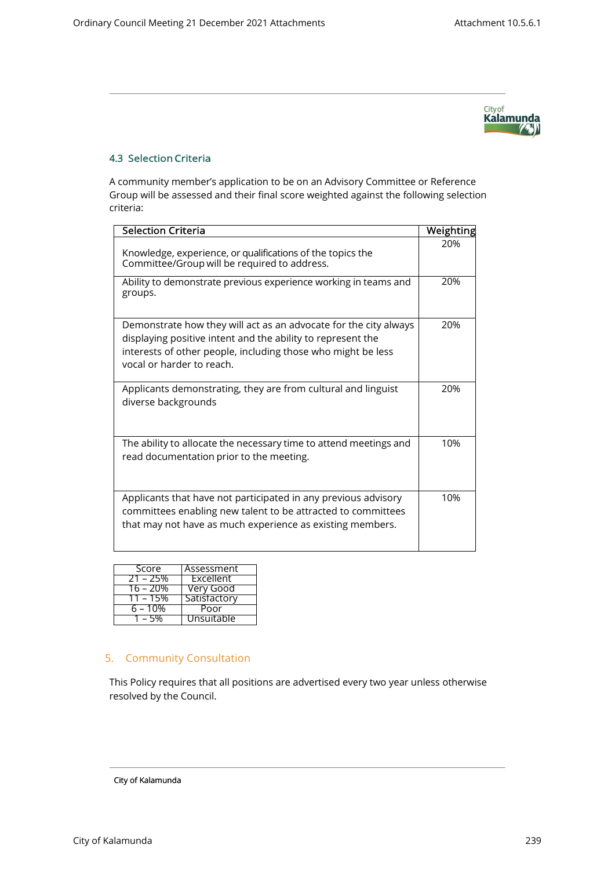

# 4.3 Selection Criteria

A community member's application to be on an Advisory Committee or Reference Group will be assessed and their final score weighted against the following selection criteria:

| <b>Selection Criteria</b>                                                                                                                                                                                                    | Weighting |
|------------------------------------------------------------------------------------------------------------------------------------------------------------------------------------------------------------------------------|-----------|
| Knowledge, experience, or qualifications of the topics the<br>Committee/Group will be required to address.                                                                                                                   | 20%       |
| Ability to demonstrate previous experience working in teams and<br>groups.                                                                                                                                                   | 20%       |
| Demonstrate how they will act as an advocate for the city always<br>displaying positive intent and the ability to represent the<br>interests of other people, including those who might be less<br>vocal or harder to reach. | 20%       |
| Applicants demonstrating, they are from cultural and linguist<br>diverse backgrounds                                                                                                                                         | 20%       |
| The ability to allocate the necessary time to attend meetings and<br>read documentation prior to the meeting.                                                                                                                | 10%       |
| Applicants that have not participated in any previous advisory<br>committees enabling new talent to be attracted to committees<br>that may not have as much experience as existing members.                                  | 10%       |

| Score      | <del>Ass</del> essment |
|------------|------------------------|
| $21 - 25%$ | Excellent              |
| 16 – 20%   | Very Good              |
| 11 – 15%   | Satisfactory           |
| 5 – 10%    | Poor                   |
|            | Unsuitable             |

# 5. Community Consultation

This Policy requires that all positions are advertised every two year unless otherwise resolved by the Council.